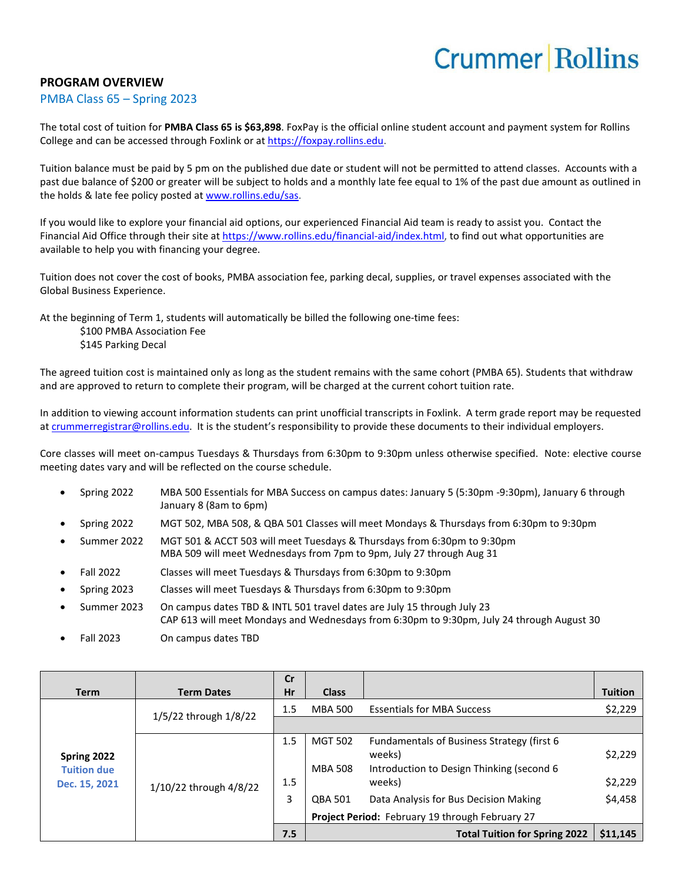## **Crummer Rollins**

## **PROGRAM OVERVIEW**

## PMBA Class 65 – Spring 2023

The total cost of tuition for **PMBA Class 65 is \$63,898**. FoxPay is the official online student account and payment system for Rollins College and can be accessed through Foxlink or a[t https://foxpay.rollins.edu.](https://foxpay.rollins.edu/)

Tuition balance must be paid by 5 pm on the published due date or student will not be permitted to attend classes. Accounts with a past due balance of \$200 or greater will be subject to holds and a monthly late fee equal to 1% of the past due amount as outlined in the holds & late fee policy posted at [www.rollins.edu/sas.](http://www.rollins.edu/sas)

If you would like to explore your financial aid options, our experienced Financial Aid team is ready to assist you. Contact the Financial Aid Office through their site at [https://www.rollins.edu/financial-aid/index.html,](https://www.rollins.edu/financial-aid/index.html) to find out what opportunities are available to help you with financing your degree.

Tuition does not cover the cost of books, PMBA association fee, parking decal, supplies, or travel expenses associated with the Global Business Experience.

At the beginning of Term 1, students will automatically be billed the following one-time fees:

\$100 PMBA Association Fee \$145 Parking Decal

The agreed tuition cost is maintained only as long as the student remains with the same cohort (PMBA 65). Students that withdraw and are approved to return to complete their program, will be charged at the current cohort tuition rate.

In addition to viewing account information students can print unofficial transcripts in Foxlink. A term grade report may be requested a[t crummerregistrar@rollins.edu.](mailto:crummerregistrar@rollins.edu) It is the student's responsibility to provide these documents to their individual employers.

Core classes will meet on-campus Tuesdays & Thursdays from 6:30pm to 9:30pm unless otherwise specified. Note: elective course meeting dates vary and will be reflected on the course schedule.

- Spring 2022 MBA 500 Essentials for MBA Success on campus dates: January 5 (5:30pm -9:30pm), January 6 through January 8 (8am to 6pm)
- Spring 2022 MGT 502, MBA 508, & QBA 501 Classes will meet Mondays & Thursdays from 6:30pm to 9:30pm
- Summer 2022 MGT 501 & ACCT 503 will meet Tuesdays & Thursdays from 6:30pm to 9:30pm MBA 509 will meet Wednesdays from 7pm to 9pm, July 27 through Aug 31
- Fall 2022 Classes will meet Tuesdays & Thursdays from 6:30pm to 9:30pm
- Spring 2023 Classes will meet Tuesdays & Thursdays from 6:30pm to 9:30pm
- Summer 2023 On campus dates TBD & INTL 501 travel dates are July 15 through July 23 CAP 613 will meet Mondays and Wednesdays from 6:30pm to 9:30pm, July 24 through August 30
- Fall 2023 On campus dates TBD

| <b>Term</b>                                        | <b>Term Dates</b>      | cr<br>Hr   | <b>Class</b>                     |                                                                                                                     | <b>Tuition</b>     |
|----------------------------------------------------|------------------------|------------|----------------------------------|---------------------------------------------------------------------------------------------------------------------|--------------------|
| Spring 2022<br><b>Tuition due</b><br>Dec. 15, 2021 | 1/5/22 through 1/8/22  | 1.5        | <b>MBA 500</b>                   | <b>Essentials for MBA Success</b>                                                                                   | \$2,229            |
|                                                    |                        |            |                                  |                                                                                                                     |                    |
|                                                    | 1/10/22 through 4/8/22 | 1.5<br>1.5 | <b>MGT 502</b><br><b>MBA 508</b> | <b>Fundamentals of Business Strategy (first 6)</b><br>weeks)<br>Introduction to Design Thinking (second 6<br>weeks) | \$2,229<br>\$2,229 |
|                                                    |                        | 3          |                                  |                                                                                                                     | \$4,458            |
|                                                    |                        |            | <b>QBA 501</b>                   | Data Analysis for Bus Decision Making<br>Project Period: February 19 through February 27                            |                    |
|                                                    |                        | 7.5        |                                  | <b>Total Tuition for Spring 2022</b>                                                                                | \$11,145           |